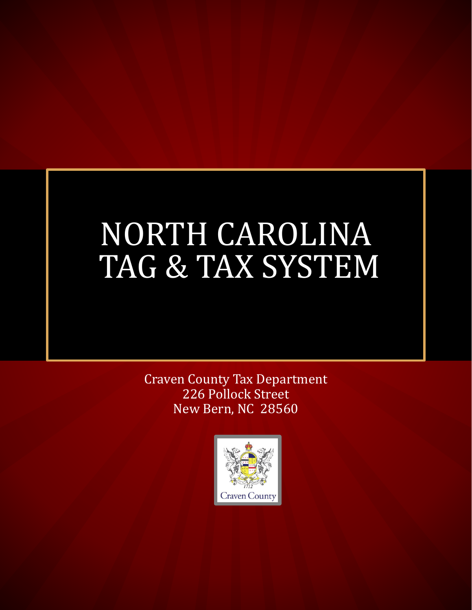## NORTH CAROLINA TAG & TAX SYSTEM

Craven County Tax Department 226 Pollock Street New Bern, NC 28560

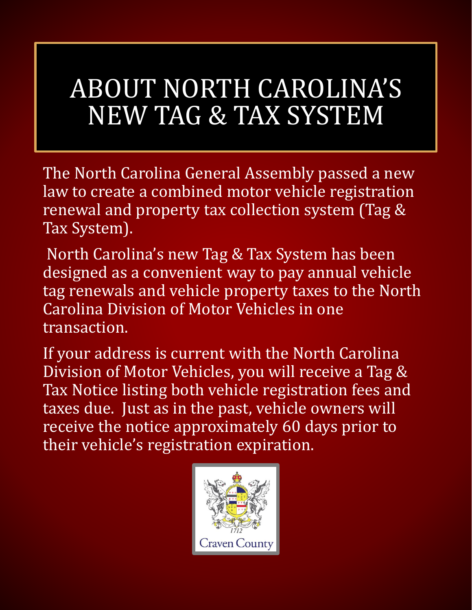## ABOUT NORTH CAROLINA'S NEW TAG & TAX SYSTEM

The North Carolina General Assembly passed a new law to create a combined motor vehicle registration renewal and property tax collection system (Tag & Tax System).

North Carolina's new Tag & Tax System has been designed as a convenient way to pay annual vehicle tag renewals and vehicle property taxes to the North Carolina Division of Motor Vehicles in one transaction.

If your address is current with the North Carolina Division of Motor Vehicles, you will receive a Tag & Tax Notice listing both vehicle registration fees and taxes due. Just as in the past, vehicle owners will receive the notice approximately 60 days prior to their vehicle's registration expiration.

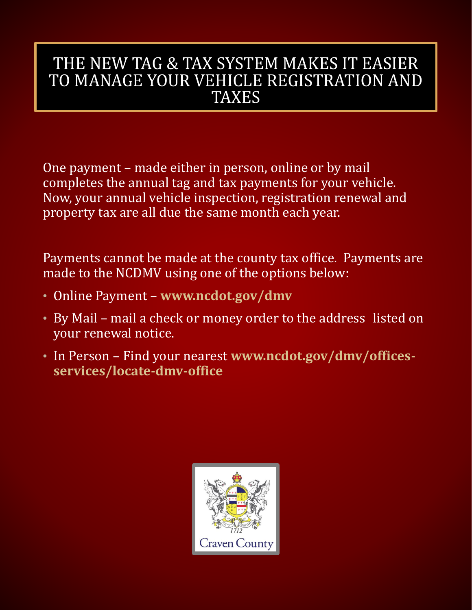### THE NEW TAG & TAX SYSTEM MAKES IT EASIER TO MANAGE YOUR VEHICLE REGISTRATION AND **TAXES**

One payment – made either in person, online or by mail completes the annual tag and tax payments for your vehicle. Now, your annual vehicle inspection, registration renewal and property tax are all due the same month each year.

Payments cannot be made at the county tax office. Payments are made to the NCDMV using one of the options below:

- Online Payment **www.ncdot.gov/dmv**
- By Mail mail a check or money order to the address listed on your renewal notice.
- In Person Find your nearest **www.ncdot.gov/dmv/officesservices/locate-dmv-office**

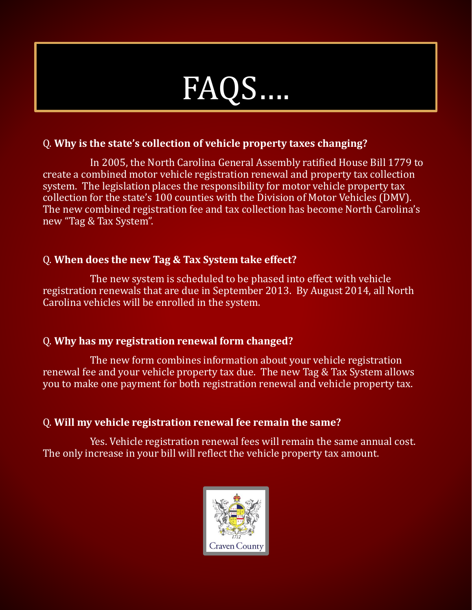

#### Q. **Why is the state's collection of vehicle property taxes changing?**

In 2005, the North Carolina General Assembly ratified House Bill 1779 to create a combined motor vehicle registration renewal and property tax collection system. The legislation places the responsibility for motor vehicle property tax collection for the state's 100 counties with the Division of Motor Vehicles (DMV). The new combined registration fee and tax collection has become North Carolina's new "Tag & Tax System".

#### Q. **When does the new Tag & Tax System take effect?**

The new system is scheduled to be phased into effect with vehicle registration renewals that are due in September 2013. By August 2014, all North Carolina vehicles will be enrolled in the system.

#### Q. **Why has my registration renewal form changed?**

The new form combines information about your vehicle registration renewal fee and your vehicle property tax due. The new Tag & Tax System allows you to make one payment for both registration renewal and vehicle property tax.

#### Q. **Will my vehicle registration renewal fee remain the same?**

Yes. Vehicle registration renewal fees will remain the same annual cost. The only increase in your bill will reflect the vehicle property tax amount.

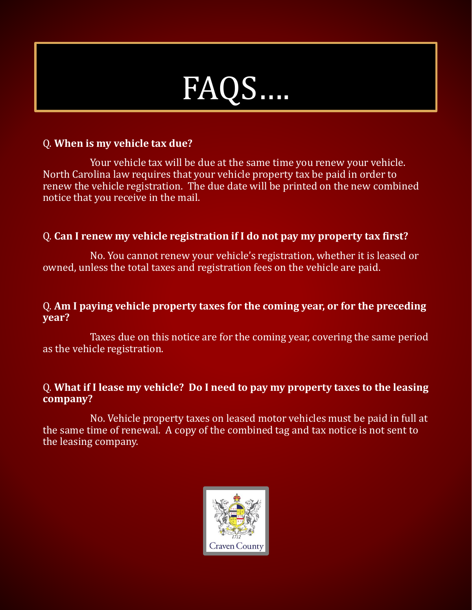# FAQS.

#### Q. **When is my vehicle tax due?**

Your vehicle tax will be due at the same time you renew your vehicle. North Carolina law requires that your vehicle property tax be paid in order to renew the vehicle registration. The due date will be printed on the new combined notice that you receive in the mail.

#### Q. **Can I renew my vehicle registration if I do not pay my property tax first?**

No. You cannot renew your vehicle's registration, whether it is leased or owned, unless the total taxes and registration fees on the vehicle are paid.

#### Q. **Am I paying vehicle property taxes for the coming year, or for the preceding year?**

Taxes due on this notice are for the coming year, covering the same period as the vehicle registration.

#### Q. **What if I lease my vehicle? Do I need to pay my property taxes to the leasing company?**

No. Vehicle property taxes on leased motor vehicles must be paid in full at the same time of renewal. A copy of the combined tag and tax notice is not sent to the leasing company.

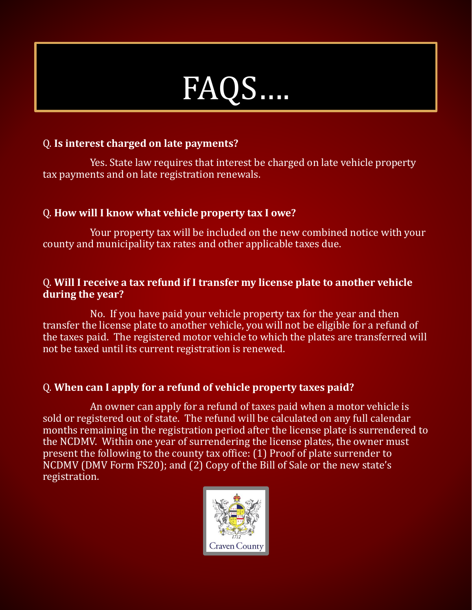

#### Q. **Is interest charged on late payments?**

Yes. State law requires that interest be charged on late vehicle property tax payments and on late registration renewals.

#### Q. **How will I know what vehicle property tax I owe?**

Your property tax will be included on the new combined notice with your county and municipality tax rates and other applicable taxes due.

#### Q. **Will I receive a tax refund if I transfer my license plate to another vehicle during the year?**

No. If you have paid your vehicle property tax for the year and then transfer the license plate to another vehicle, you will not be eligible for a refund of the taxes paid. The registered motor vehicle to which the plates are transferred will not be taxed until its current registration is renewed.

#### Q. **When can I apply for a refund of vehicle property taxes paid?**

An owner can apply for a refund of taxes paid when a motor vehicle is sold or registered out of state. The refund will be calculated on any full calendar months remaining in the registration period after the license plate is surrendered to the NCDMV. Within one year of surrendering the license plates, the owner must present the following to the county tax office: (1) Proof of plate surrender to NCDMV (DMV Form FS20); and (2) Copy of the Bill of Sale or the new state's registration.